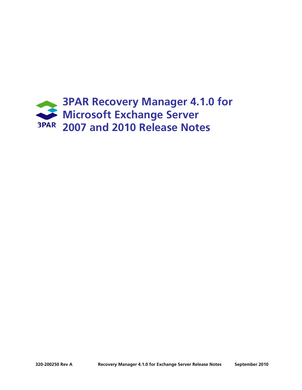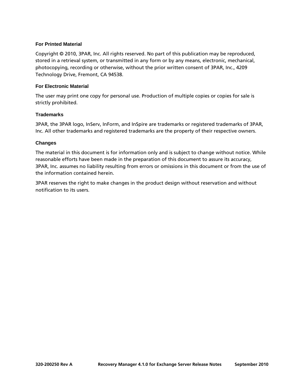#### **For Printed Material**

Copyright © 2010, 3PAR, Inc. All rights reserved. No part of this publication may be reproduced, stored in a retrieval system, or transmitted in any form or by any means, electronic, mechanical, photocopying, recording or otherwise, without the prior written consent of 3PAR, Inc., 4209 Technology Drive, Fremont, CA 94538.

#### **For Electronic Material**

The user may print one copy for personal use. Production of multiple copies or copies for sale is strictly prohibited.

#### **Trademarks**

3PAR, the 3PAR logo, InServ, InForm, and InSpire are trademarks or registered trademarks of 3PAR, Inc. All other trademarks and registered trademarks are the property of their respective owners.

#### **Changes**

The material in this document is for information only and is subject to change without notice. While reasonable efforts have been made in the preparation of this document to assure its accuracy, 3PAR, Inc. assumes no liability resulting from errors or omissions in this document or from the use of the information contained herein.

3PAR reserves the right to make changes in the product design without reservation and without notification to its users.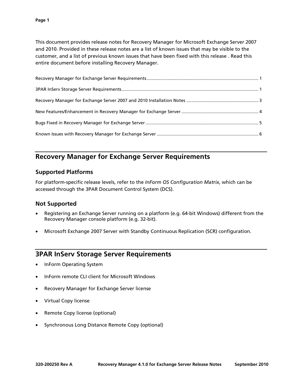This document provides release notes for Recovery Manager for Microsoft Exchange Server 2007 and 2010. Provided in these release notes are a list of known issues that may be visible to the customer, and a list of previous known issues that have been fixed with this release . Read this entire document before installing Recovery Manager.

# **Recovery Manager for Exchange Server Requirements**

## **Supported Platforms**

For platform-specific release levels, refer to the *InForm OS Configuration Matrix*, which can be accessed through the 3PAR Document Control System (DCS).

### **Not Supported**

- Registering an Exchange Server running on a platform (e.g. 64-bit Windows) different from the Recovery Manager console platform (e.g. 32-bit).
- Microsoft Exchange 2007 Server with Standby Continuous Replication (SCR) configuration.

## **3PAR InServ Storage Server Requirements**

- InForm Operating System
- InForm remote CLI client for Microsoft Windows
- Recovery Manager for Exchange Server license
- Virtual Copy license
- Remote Copy license (optional)
- Synchronous Long Distance Remote Copy (optional)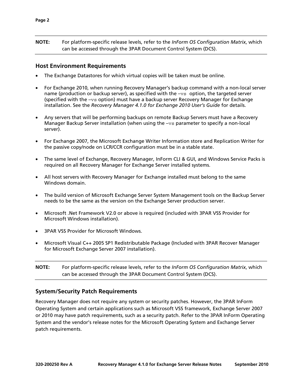**NOTE:** For platform-specific release levels, refer to the *InForm OS Configuration Matrix*, which can be accessed through the 3PAR Document Control System (DCS).

#### **Host Environment Requirements**

- The Exchange Datastores for which virtual copies will be taken must be online.
- For Exchange 2010, when running Recovery Manager's backup command with a non-local server name (production or backup server), as specified with the  $-vs$  option, the targeted server (specified with the  $-vs$  option) must have a backup server Recovery Manager for Exchange installation. See the *Recovery Manager 4.1.0 for Exchange 2010 User's Guide* for details.
- Any servers that will be performing backups on remote Backup Servers must have a Recovery Manager Backup Server installation (when using the  $-vs$  parameter to specify a non-local server).
- For Exchange 2007, the Microsoft Exchange Writer Information store and Replication Writer for the passive copy/node on LCR/CCR configuration must be in a stable state.
- The same level of Exchange, Recovery Manager, InForm CLI & GUI, and Windows Service Packs is required on all Recovery Manager for Exchange Server installed systems.
- All host servers with Recovery Manager for Exchange installed must belong to the same Windows domain.
- The build version of Microsoft Exchange Server System Management tools on the Backup Server needs to be the same as the version on the Exchange Server production server.
- Microsoft .Net Framework V2.0 or above is required (included with 3PAR VSS Provider for Microsoft Windows installation).
- 3PAR VSS Provider for Microsoft Windows.
- Microsoft Visual C++ 2005 SP1 Redistributable Package (Included with 3PAR Recover Manager for Microsoft Exchange Server 2007 installation).

**NOTE:** For platform-specific release levels, refer to the *InForm OS Configuration Matrix*, which can be accessed through the 3PAR Document Control System (DCS).

### **System/Security Patch Requirements**

Recovery Manager does not require any system or security patches. However, the 3PAR InForm Operating System and certain applications such as Microsoft VSS framework, Exchange Server 2007 or 2010 may have patch requirements, such as a security patch. Refer to the 3PAR InForm Operating System and the vendor's release notes for the Microsoft Operating System and Exchange Server patch requirements.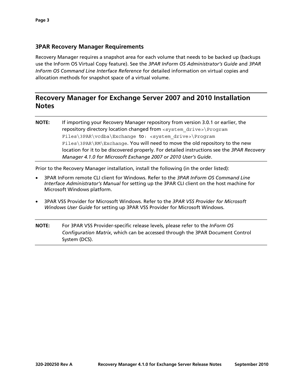### **3PAR Recovery Manager Requirements**

Recovery Manager requires a snapshot area for each volume that needs to be backed up (backups use the InForm OS Virtual Copy feature). See the *3PAR InForm OS Administrator's Guide* and *3PAR InForm OS Command Line Interface Reference* for detailed information on virtual copies and allocation methods for snapshot space of a virtual volume.

## **Recovery Manager for Exchange Server 2007 and 2010 Installation Notes**

**NOTE:** If importing your Recovery Manager repository from version 3.0.1 or earlier, the repository directory location changed from <system\_drive>\Program Files\3PAR\vcdba\Exchange to: <system drive>\Program Files\3PAR\RM\Exchange. You will need to move the old repository to the new location for it to be discovered properly. For detailed instructions see the *3PAR Recovery Manager 4.1.0 for Microsoft Exchange 2007 or 2010 User's Guide*.

Prior to the Recovery Manager installation, install the following (in the order listed):

- 3PAR InForm remote CLI client for Windows. Refer to the *3PAR InForm OS Command Line Interface Administrator's Manual* for setting up the 3PAR CLI client on the host machine for Microsoft Windows platform.
- 3PAR VSS Provider for Microsoft Windows. Refer to the *3PAR VSS Provider for Microsoft Windows User Guide* for setting up 3PAR VSS Provider for Microsoft Windows.
- **NOTE:** For 3PAR VSS Provider-specific release levels, please refer to the *InForm OS Configuration Matrix*, which can be accessed through the 3PAR Document Control System (DCS).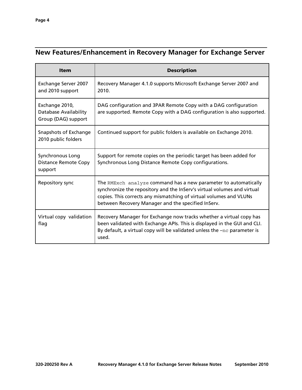# **New Features/Enhancement in Recovery Manager for Exchange Server**

| <b>Item</b>                                                    | <b>Description</b>                                                                                                                                                                                                                                                     |
|----------------------------------------------------------------|------------------------------------------------------------------------------------------------------------------------------------------------------------------------------------------------------------------------------------------------------------------------|
| Exchange Server 2007<br>and 2010 support                       | Recovery Manager 4.1.0 supports Microsoft Exchange Server 2007 and<br>2010.                                                                                                                                                                                            |
| Exchange 2010,<br>Database Availability<br>Group (DAG) support | DAG configuration and 3PAR Remote Copy with a DAG configuration<br>are supported. Remote Copy with a DAG configuration is also supported.                                                                                                                              |
| Snapshots of Exchange<br>2010 public folders                   | Continued support for public folders is available on Exchange 2010.                                                                                                                                                                                                    |
| Synchronous Long<br><b>Distance Remote Copy</b><br>support     | Support for remote copies on the periodic target has been added for<br>Synchronous Long Distance Remote Copy configurations.                                                                                                                                           |
| Repository sync                                                | The RMExch analyze command has a new parameter to automatically<br>synchronize the repository and the InServ's virtual volumes and virtual<br>copies. This corrects any mismatching of virtual volumes and VLUNs<br>between Recovery Manager and the specified InServ. |
| Virtual copy validation<br>flag                                | Recovery Manager for Exchange now tracks whether a virtual copy has<br>been validated with Exchange APIs. This is displayed in the GUI and CLI.<br>By default, a virtual copy will be validated unless the $-nc$ parameter is<br>used.                                 |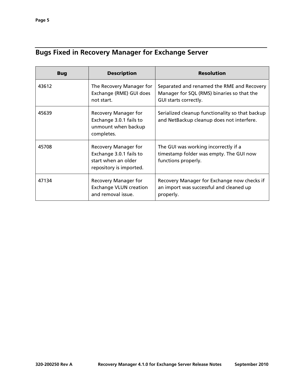# **Bugs Fixed in Recovery Manager for Exchange Server**

| <b>Bug</b> | <b>Description</b>                                                                                | <b>Resolution</b>                                                                                                 |
|------------|---------------------------------------------------------------------------------------------------|-------------------------------------------------------------------------------------------------------------------|
| 43612      | The Recovery Manager for<br>Exchange (RME) GUI does<br>not start.                                 | Separated and renamed the RME and Recovery<br>Manager for SQL (RMS) binaries so that the<br>GUI starts correctly. |
| 45639      | Recovery Manager for<br>Exchange 3.0.1 fails to<br>unmount when backup<br>completes.              | Serialized cleanup functionality so that backup<br>and NetBackup cleanup does not interfere.                      |
| 45708      | Recovery Manager for<br>Exchange 3.0.1 fails to<br>start when an older<br>repository is imported. | The GUI was working incorrectly if a<br>timestamp folder was empty. The GUI now<br>functions properly.            |
| 47134      | Recovery Manager for<br><b>Exchange VLUN creation</b><br>and removal issue.                       | Recovery Manager for Exchange now checks if<br>an import was successful and cleaned up<br>properly.               |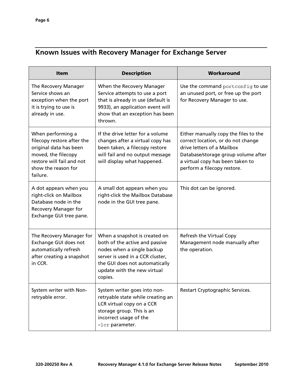# **Known Issues with Recovery Manager for Exchange Server**

| <b>Item</b>                                                                                                                                                      | <b>Description</b>                                                                                                                                                                                            | Workaround                                                                                                                                                                                                          |
|------------------------------------------------------------------------------------------------------------------------------------------------------------------|---------------------------------------------------------------------------------------------------------------------------------------------------------------------------------------------------------------|---------------------------------------------------------------------------------------------------------------------------------------------------------------------------------------------------------------------|
| The Recovery Manager<br>Service shows an<br>exception when the port<br>it is trying to use is<br>already in use.                                                 | When the Recovery Manager<br>Service attempts to use a port<br>that is already in use (default is<br>9933), an application event will<br>show that an exception has been<br>thrown.                           | Use the command portconfig to use<br>an unused port, or free up the port<br>for Recovery Manager to use.                                                                                                            |
| When performing a<br>filecopy restore after the<br>original data has been<br>moved, the filecopy<br>restore will fail and not<br>show the reason for<br>failure. | If the drive letter for a volume<br>changes after a virtual copy has<br>been taken, a filecopy restore<br>will fail and no output message<br>will display what happened.                                      | Either manually copy the files to the<br>correct location, or do not change<br>drive letters of a Mailbox<br>Database/storage group volume after<br>a virtual copy has been taken to<br>perform a filecopy restore. |
| A dot appears when you<br>right-click on Mailbox<br>Database node in the<br>Recovery Manager for<br>Exchange GUI tree pane.                                      | A small dot appears when you<br>right-click the Mailbox Database<br>node in the GUI tree pane.                                                                                                                | This dot can be ignored.                                                                                                                                                                                            |
| The Recovery Manager for<br>Exchange GUI does not<br>automatically refresh<br>after creating a snapshot<br>in CCR.                                               | When a snapshot is created on<br>both of the active and passive<br>nodes when a single backup<br>server is used in a CCR cluster,<br>the GUI does not automatically<br>update with the new virtual<br>copies. | Refresh the Virtual Copy<br>Management node manually after<br>the operation.                                                                                                                                        |
| System writer with Non-<br>retryable error.                                                                                                                      | System writer goes into non-<br>retryable state while creating an<br>LCR virtual copy on a CCR<br>storage group. This is an<br>incorrect usage of the<br>-lcr parameter.                                      | Restart Cryptographic Services.                                                                                                                                                                                     |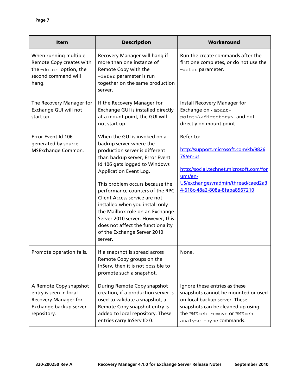| <b>Item</b>                                                                                                       | <b>Description</b>                                                                                                                                                                                                                                                                                                                                                                                                                                                                       | Workaround                                                                                                                                                                                           |
|-------------------------------------------------------------------------------------------------------------------|------------------------------------------------------------------------------------------------------------------------------------------------------------------------------------------------------------------------------------------------------------------------------------------------------------------------------------------------------------------------------------------------------------------------------------------------------------------------------------------|------------------------------------------------------------------------------------------------------------------------------------------------------------------------------------------------------|
| When running multiple<br>Remote Copy creates with<br>the-defer option, the<br>second command will<br>hang.        | Recovery Manager will hang if<br>more than one instance of<br>Remote Copy with the<br>-defer parameter is run<br>together on the same production<br>server.                                                                                                                                                                                                                                                                                                                              | Run the create commands after the<br>first one completes, or do not use the<br>-defer parameter.                                                                                                     |
| The Recovery Manager for<br>Exchange GUI will not<br>start up.                                                    | If the Recovery Manager for<br>Exchange GUI is installed directly<br>at a mount point, the GUI will<br>not start up.                                                                                                                                                                                                                                                                                                                                                                     | Install Recovery Manager for<br>Exchange on <mount-<br>point&gt;\<directory> and not<br/>directly on mount point</directory></mount-<br>                                                             |
| Error Event Id 106<br>generated by source<br>MSExchange Common.                                                   | When the GUI is invoked on a<br>backup server where the<br>production server is different<br>than backup server, Error Event<br>Id 106 gets logged to Windows<br>Application Event Log.<br>This problem occurs because the<br>performance counters of the RPC<br>Client Access service are not<br>installed when you install only<br>the Mailbox role on an Exchange<br>Server 2010 server. However, this<br>does not affect the functionality<br>of the Exchange Server 2010<br>server. | Refer to:<br>http://support.microsoft.com/kb/9826<br>79/en-us<br>http://social.technet.microsoft.com/for<br>ums/en-<br>US/exchangesvradmin/thread/caed2a3<br>4-618c-48a2-808a-8faba8567210           |
| Promote operation fails.                                                                                          | If a snapshot is spread across<br>Remote Copy groups on the<br>InServ, then it is not possible to<br>promote such a snapshot.                                                                                                                                                                                                                                                                                                                                                            | None.                                                                                                                                                                                                |
| A Remote Copy snapshot<br>entry is seen in local<br>Recovery Manager for<br>Exchange backup server<br>repository. | During Remote Copy snapshot<br>creation, if a production server is<br>used to validate a snapshot, a<br>Remote Copy snapshot entry is<br>added to local repository. These<br>entries carry InServ ID 0.                                                                                                                                                                                                                                                                                  | Ignore these entries as these<br>snapshots cannot be mounted or used<br>on local backup server. These<br>snapshots can be cleaned up using<br>the RMExch remove or RMExch<br>analyze -sync commands. |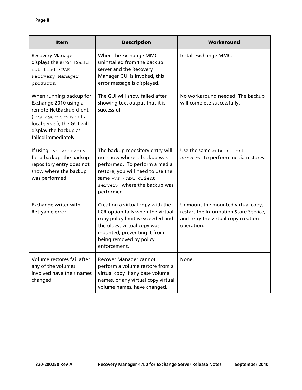| <b>Item</b>                                                                                                                                                                                                   | <b>Description</b>                                                                                                                                                                                                      | Workaround                                                                                                                       |
|---------------------------------------------------------------------------------------------------------------------------------------------------------------------------------------------------------------|-------------------------------------------------------------------------------------------------------------------------------------------------------------------------------------------------------------------------|----------------------------------------------------------------------------------------------------------------------------------|
| <b>Recovery Manager</b><br>displays the error: Could<br>not find 3PAR<br>Recovery Manager<br>products.                                                                                                        | When the Exchange MMC is<br>uninstalled from the backup<br>server and the Recovery<br>Manager GUI is invoked, this<br>error message is displayed.                                                                       | Install Exchange MMC.                                                                                                            |
| When running backup for<br>Exchange 2010 using a<br>remote NetBackup client<br>$(-\text{vs } \text{server} > \text{is not a})$<br>local server), the GUI will<br>display the backup as<br>failed immediately. | The GUI will show failed after<br>showing text output that it is<br>successful.                                                                                                                                         | No workaround needed. The backup<br>will complete successfully.                                                                  |
| If using $-vs$ <server><br/>for a backup, the backup<br/>repository entry does not<br/>show where the backup<br/>was performed.</server>                                                                      | The backup repository entry will<br>not show where a backup was<br>performed. To perform a media<br>restore, you will need to use the<br>same-vs <nbu client<br="">server&gt; where the backup was<br/>performed.</nbu> | Use the same <nbu client<br="">server&gt; to perform media restores.</nbu>                                                       |
| Exchange writer with<br>Retryable error.                                                                                                                                                                      | Creating a virtual copy with the<br>LCR option fails when the virtual<br>copy policy limit is exceeded and<br>the oldest virtual copy was<br>mounted, preventing it from<br>being removed by policy<br>enforcement.     | Unmount the mounted virtual copy,<br>restart the Information Store Service,<br>and retry the virtual copy creation<br>operation. |
| Volume restores fail after<br>any of the volumes<br>involved have their names<br>changed.                                                                                                                     | Recover Manager cannot<br>perform a volume restore from a<br>virtual copy if any base volume<br>names, or any virtual copy virtual<br>volume names, have changed.                                                       | None.                                                                                                                            |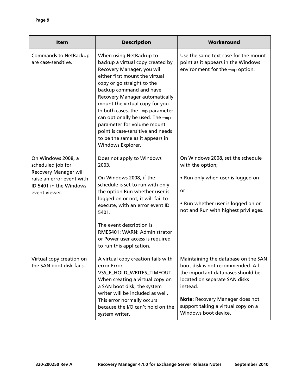| <b>Item</b>                                                                                                                                     | <b>Description</b>                                                                                                                                                                                                                                                                                                                                                                                                                                          | Workaround                                                                                                                                                                                                                                                  |
|-------------------------------------------------------------------------------------------------------------------------------------------------|-------------------------------------------------------------------------------------------------------------------------------------------------------------------------------------------------------------------------------------------------------------------------------------------------------------------------------------------------------------------------------------------------------------------------------------------------------------|-------------------------------------------------------------------------------------------------------------------------------------------------------------------------------------------------------------------------------------------------------------|
| <b>Commands to NetBackup</b><br>are case-sensitive.                                                                                             | When using NetBackup to<br>backup a virtual copy created by<br>Recovery Manager, you will<br>either first mount the virtual<br>copy or go straight to the<br>backup command and have<br>Recovery Manager automatically<br>mount the virtual copy for you.<br>In both cases, the -mp parameter<br>can optionally be used. The -mp<br>parameter for volume mount<br>point is case-sensitive and needs<br>to be the same as it appears in<br>Windows Explorer. | Use the same text case for the mount<br>point as it appears in the Windows<br>environment for the -mp option.                                                                                                                                               |
| On Windows 2008, a<br>scheduled job for<br><b>Recovery Manager will</b><br>raise an error event with<br>ID 5401 in the Windows<br>event viewer. | Does not apply to Windows<br>2003.<br>On Windows 2008, if the<br>schedule is set to run with only<br>the option Run whether user is<br>logged on or not, it will fail to<br>execute, with an error event ID<br>5401.<br>The event description is<br>RME5401: WARN: Administrator<br>or Power user access is required<br>to run this application.                                                                                                            | On Windows 2008, set the schedule<br>with the option;<br>• Run only when user is logged on<br>or<br>• Run whether user is logged on or<br>not and Run with highest privileges.                                                                              |
| Virtual copy creation on<br>the SAN boot disk fails.                                                                                            | A virtual copy creation fails with<br>error Error-<br>VSS_E_HOLD_WRITES_TIMEOUT.<br>When creating a virtual copy on<br>a SAN boot disk, the system<br>writer will be included as well.<br>This error normally occurs<br>because the I/O can't hold on the<br>system writer.                                                                                                                                                                                 | Maintaining the database on the SAN<br>boot disk is not recommended. All<br>the important databases should be<br>located on separate SAN disks<br>instead.<br>Note: Recovery Manager does not<br>support taking a virtual copy on a<br>Windows boot device. |